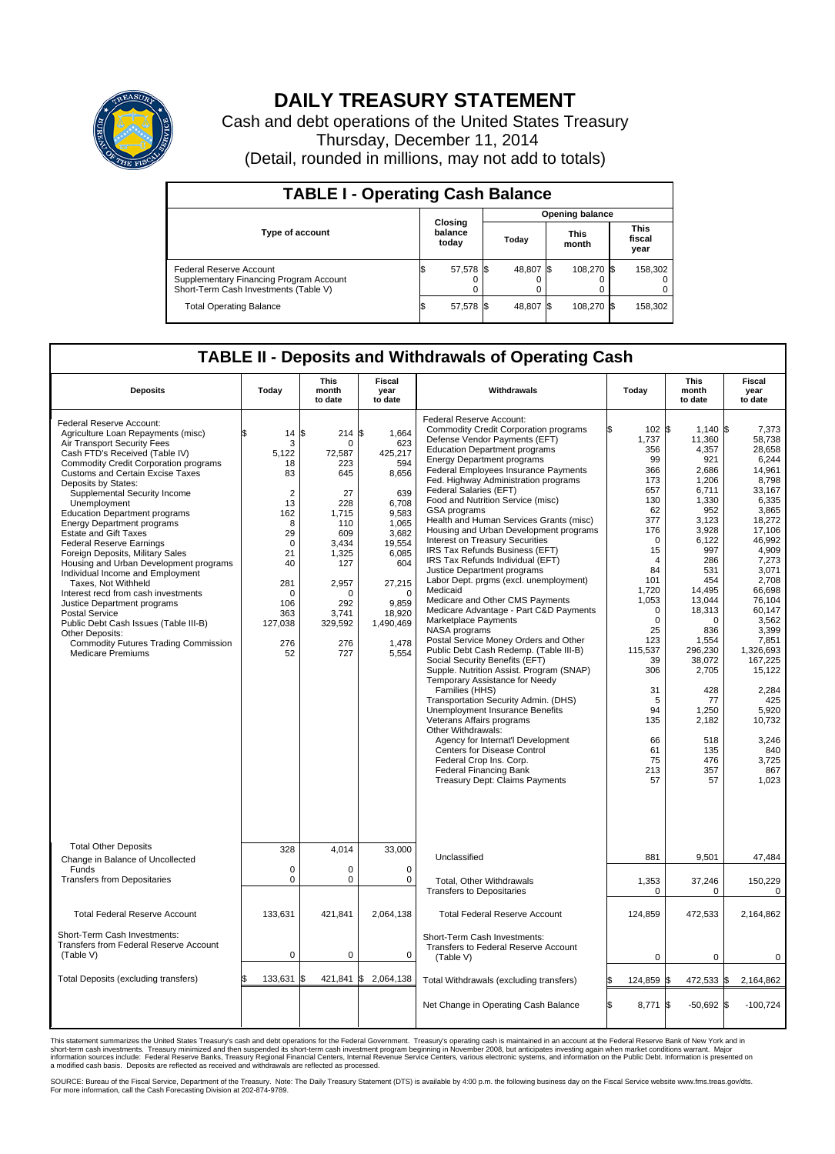

## **DAILY TREASURY STATEMENT**

Cash and debt operations of the United States Treasury Thursday, December 11, 2014 (Detail, rounded in millions, may not add to totals)

| <b>TABLE I - Operating Cash Balance</b>                                                                     |                             |           |  |           |  |                      |  |                               |  |
|-------------------------------------------------------------------------------------------------------------|-----------------------------|-----------|--|-----------|--|----------------------|--|-------------------------------|--|
| <b>Opening balance</b>                                                                                      |                             |           |  |           |  |                      |  |                               |  |
| <b>Type of account</b>                                                                                      | Closing<br>balance<br>today |           |  | Today     |  | <b>This</b><br>month |  | <b>This</b><br>fiscal<br>year |  |
| Federal Reserve Account<br>Supplementary Financing Program Account<br>Short-Term Cash Investments (Table V) |                             | 57,578 \$ |  | 48,807 \$ |  | 108.270 \$           |  | 158,302                       |  |
| <b>Total Operating Balance</b>                                                                              |                             | 57,578 \$ |  | 48,807 \$ |  | 108,270 \$           |  | 158,302                       |  |

## **TABLE II - Deposits and Withdrawals of Operating Cash**

| <b>Deposits</b>                                                                                                                                                                                                                                                                                                                                                                                                                                                                                                                                                                                                                                                                                                                                                                                                           | Today                                                                                                                                                         | <b>This</b><br>month<br>to date                                                                                                                                     | <b>Fiscal</b><br>year<br>to date                                                                                                                                                        | Withdrawals                                                                                                                                                                                                                                                                                                                                                                                                                                                                                                                                                                                                                                                                                                                                                                                                                                                                                                                                                                                                                                                                                                                                                                                                                                                                                | Today                                                                                                                                                                                                                                                                   | <b>This</b><br>month<br>to date                                                                                                                                                                                                                                                                 | <b>Fiscal</b><br>year<br>to date                                                                                                                                                                                                                                                                                           |  |  |
|---------------------------------------------------------------------------------------------------------------------------------------------------------------------------------------------------------------------------------------------------------------------------------------------------------------------------------------------------------------------------------------------------------------------------------------------------------------------------------------------------------------------------------------------------------------------------------------------------------------------------------------------------------------------------------------------------------------------------------------------------------------------------------------------------------------------------|---------------------------------------------------------------------------------------------------------------------------------------------------------------|---------------------------------------------------------------------------------------------------------------------------------------------------------------------|-----------------------------------------------------------------------------------------------------------------------------------------------------------------------------------------|--------------------------------------------------------------------------------------------------------------------------------------------------------------------------------------------------------------------------------------------------------------------------------------------------------------------------------------------------------------------------------------------------------------------------------------------------------------------------------------------------------------------------------------------------------------------------------------------------------------------------------------------------------------------------------------------------------------------------------------------------------------------------------------------------------------------------------------------------------------------------------------------------------------------------------------------------------------------------------------------------------------------------------------------------------------------------------------------------------------------------------------------------------------------------------------------------------------------------------------------------------------------------------------------|-------------------------------------------------------------------------------------------------------------------------------------------------------------------------------------------------------------------------------------------------------------------------|-------------------------------------------------------------------------------------------------------------------------------------------------------------------------------------------------------------------------------------------------------------------------------------------------|----------------------------------------------------------------------------------------------------------------------------------------------------------------------------------------------------------------------------------------------------------------------------------------------------------------------------|--|--|
| Federal Reserve Account:<br>Agriculture Loan Repayments (misc)<br>Air Transport Security Fees<br>Cash FTD's Received (Table IV)<br><b>Commodity Credit Corporation programs</b><br><b>Customs and Certain Excise Taxes</b><br>Deposits by States:<br>Supplemental Security Income<br>Unemployment<br><b>Education Department programs</b><br><b>Energy Department programs</b><br><b>Estate and Gift Taxes</b><br><b>Federal Reserve Earnings</b><br>Foreign Deposits, Military Sales<br>Housing and Urban Development programs<br>Individual Income and Employment<br>Taxes. Not Withheld<br>Interest recd from cash investments<br>Justice Department programs<br>Postal Service<br>Public Debt Cash Issues (Table III-B)<br>Other Deposits:<br><b>Commodity Futures Trading Commission</b><br><b>Medicare Premiums</b> | 14<br>3<br>5,122<br>18<br>83<br>$\overline{2}$<br>13<br>162<br>8<br>29<br>$\mathbf 0$<br>21<br>40<br>281<br>$\mathbf 0$<br>106<br>363<br>127,038<br>276<br>52 | l\$<br>214S<br>$\Omega$<br>72,587<br>223<br>645<br>27<br>228<br>1.715<br>110<br>609<br>3,434<br>1,325<br>127<br>2,957<br>U<br>292<br>3,741<br>329,592<br>276<br>727 | 1,664<br>623<br>425,217<br>594<br>8,656<br>639<br>6,708<br>9,583<br>1,065<br>3,682<br>19,554<br>6,085<br>604<br>27,215<br>$\mathbf 0$<br>9.859<br>18,920<br>1,490,469<br>1,478<br>5,554 | Federal Reserve Account:<br><b>Commodity Credit Corporation programs</b><br>Defense Vendor Payments (EFT)<br><b>Education Department programs</b><br><b>Energy Department programs</b><br>Federal Employees Insurance Payments<br>Fed. Highway Administration programs<br>Federal Salaries (EFT)<br>Food and Nutrition Service (misc)<br>GSA programs<br>Health and Human Services Grants (misc)<br>Housing and Urban Development programs<br>Interest on Treasury Securities<br>IRS Tax Refunds Business (EFT)<br>IRS Tax Refunds Individual (EFT)<br>Justice Department programs<br>Labor Dept. prgms (excl. unemployment)<br>Medicaid<br>Medicare and Other CMS Payments<br>Medicare Advantage - Part C&D Payments<br>Marketplace Payments<br>NASA programs<br>Postal Service Money Orders and Other<br>Public Debt Cash Redemp. (Table III-B)<br>Social Security Benefits (EFT)<br>Supple. Nutrition Assist. Program (SNAP)<br>Temporary Assistance for Needy<br>Families (HHS)<br>Transportation Security Admin. (DHS)<br>Unemployment Insurance Benefits<br>Veterans Affairs programs<br>Other Withdrawals:<br>Agency for Internat'l Development<br>Centers for Disease Control<br>Federal Crop Ins. Corp.<br><b>Federal Financing Bank</b><br><b>Treasury Dept: Claims Payments</b> | 102S<br>1,737<br>356<br>99<br>366<br>173<br>657<br>130<br>62<br>377<br>176<br>$\Omega$<br>15<br>$\overline{4}$<br>84<br>101<br>1.720<br>1,053<br>$\mathbf 0$<br>$\mathbf 0$<br>25<br>123<br>115,537<br>39<br>306<br>31<br>5<br>94<br>135<br>66<br>61<br>75<br>213<br>57 | $1,140$ \$<br>11,360<br>4,357<br>921<br>2,686<br>1,206<br>6,711<br>1,330<br>952<br>3,123<br>3,928<br>6,122<br>997<br>286<br>531<br>454<br>14.495<br>13,044<br>18,313<br>$\Omega$<br>836<br>1,554<br>296,230<br>38,072<br>2,705<br>428<br>77<br>1,250<br>2,182<br>518<br>135<br>476<br>357<br>57 | 7,373<br>58,738<br>28,658<br>6,244<br>14,961<br>8.798<br>33,167<br>6,335<br>3.865<br>18,272<br>17,106<br>46,992<br>4,909<br>7,273<br>3,071<br>2,708<br>66.698<br>76,104<br>60,147<br>3,562<br>3,399<br>7,851<br>1.326.693<br>167,225<br>15,122<br>2,284<br>425<br>5,920<br>10,732<br>3.246<br>840<br>3,725<br>867<br>1,023 |  |  |
| <b>Total Other Deposits</b><br>Change in Balance of Uncollected                                                                                                                                                                                                                                                                                                                                                                                                                                                                                                                                                                                                                                                                                                                                                           | 328                                                                                                                                                           | 4,014                                                                                                                                                               | 33,000                                                                                                                                                                                  | Unclassified                                                                                                                                                                                                                                                                                                                                                                                                                                                                                                                                                                                                                                                                                                                                                                                                                                                                                                                                                                                                                                                                                                                                                                                                                                                                               | 881                                                                                                                                                                                                                                                                     | 9,501                                                                                                                                                                                                                                                                                           | 47,484                                                                                                                                                                                                                                                                                                                     |  |  |
| Funds<br><b>Transfers from Depositaries</b>                                                                                                                                                                                                                                                                                                                                                                                                                                                                                                                                                                                                                                                                                                                                                                               | $\mathbf 0$<br>$\mathbf 0$                                                                                                                                    | 0<br>0                                                                                                                                                              | $\mathbf 0$<br>$\mathbf 0$                                                                                                                                                              | Total, Other Withdrawals<br><b>Transfers to Depositaries</b>                                                                                                                                                                                                                                                                                                                                                                                                                                                                                                                                                                                                                                                                                                                                                                                                                                                                                                                                                                                                                                                                                                                                                                                                                               | 1,353<br>0                                                                                                                                                                                                                                                              | 37,246<br>0                                                                                                                                                                                                                                                                                     | 150,229<br>0                                                                                                                                                                                                                                                                                                               |  |  |
| <b>Total Federal Reserve Account</b>                                                                                                                                                                                                                                                                                                                                                                                                                                                                                                                                                                                                                                                                                                                                                                                      | 133,631                                                                                                                                                       | 421,841                                                                                                                                                             | 2,064,138                                                                                                                                                                               | <b>Total Federal Reserve Account</b>                                                                                                                                                                                                                                                                                                                                                                                                                                                                                                                                                                                                                                                                                                                                                                                                                                                                                                                                                                                                                                                                                                                                                                                                                                                       | 124,859                                                                                                                                                                                                                                                                 | 472,533                                                                                                                                                                                                                                                                                         | 2,164,862                                                                                                                                                                                                                                                                                                                  |  |  |
| Short-Term Cash Investments:<br>Transfers from Federal Reserve Account<br>(Table V)                                                                                                                                                                                                                                                                                                                                                                                                                                                                                                                                                                                                                                                                                                                                       | $\pmb{0}$                                                                                                                                                     | 0                                                                                                                                                                   | $\mathbf 0$                                                                                                                                                                             | Short-Term Cash Investments:<br>Transfers to Federal Reserve Account<br>(Table V)                                                                                                                                                                                                                                                                                                                                                                                                                                                                                                                                                                                                                                                                                                                                                                                                                                                                                                                                                                                                                                                                                                                                                                                                          | $\Omega$                                                                                                                                                                                                                                                                | $\Omega$                                                                                                                                                                                                                                                                                        | $\Omega$                                                                                                                                                                                                                                                                                                                   |  |  |
| Total Deposits (excluding transfers)                                                                                                                                                                                                                                                                                                                                                                                                                                                                                                                                                                                                                                                                                                                                                                                      | 133,631                                                                                                                                                       | 421.841 \$                                                                                                                                                          | 2,064,138                                                                                                                                                                               | Total Withdrawals (excluding transfers)                                                                                                                                                                                                                                                                                                                                                                                                                                                                                                                                                                                                                                                                                                                                                                                                                                                                                                                                                                                                                                                                                                                                                                                                                                                    | 124,859 \$<br>l\$                                                                                                                                                                                                                                                       | 472,533 \$                                                                                                                                                                                                                                                                                      | 2,164,862                                                                                                                                                                                                                                                                                                                  |  |  |
|                                                                                                                                                                                                                                                                                                                                                                                                                                                                                                                                                                                                                                                                                                                                                                                                                           |                                                                                                                                                               |                                                                                                                                                                     |                                                                                                                                                                                         | Net Change in Operating Cash Balance                                                                                                                                                                                                                                                                                                                                                                                                                                                                                                                                                                                                                                                                                                                                                                                                                                                                                                                                                                                                                                                                                                                                                                                                                                                       | l\$<br>8,771 \$                                                                                                                                                                                                                                                         | $-50,692$ \$                                                                                                                                                                                                                                                                                    | $-100,724$                                                                                                                                                                                                                                                                                                                 |  |  |

This statement summarizes the United States Treasury's cash and debt operations for the Federal Government. Treasury's operating cash is maintained in an account at the Federal Reserve Bank of New York and in<br>short-term ca

SOURCE: Bureau of the Fiscal Service, Department of the Treasury. Note: The Daily Treasury Statement (DTS) is available by 4:00 p.m. the following business day on the Fiscal Service website www.fms.treas.gov/dts.<br>For more